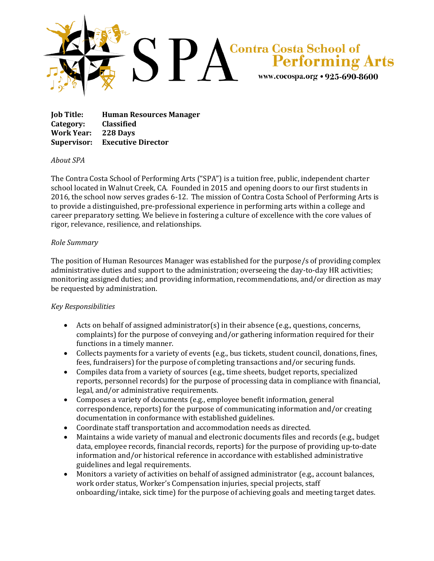

**Job Title: Human Resources Manager Category: Classified Work Year: 228 Days Supervisor: Executive Director**

## *About SPA*

The Contra Costa School of Performing Arts ("SPA") is a tuition free, public, independent charter school located in Walnut Creek, CA. Founded in 2015 and opening doors to our first students in 2016, the school now serves grades 6-12. The mission of Contra Costa School of Performing Arts is to provide a distinguished, pre-professional experience in performing arts within a college and career preparatory setting. We believe in fostering a culture of excellence with the core values of rigor, relevance, resilience, and relationships.

## *Role Summary*

The position of Human Resources Manager was established for the purpose/s of providing complex administrative duties and support to the administration; overseeing the day-to-day HR activities; monitoring assigned duties; and providing information, recommendations, and/or direction as may be requested by administration.

## *Key Responsibilities*

- Acts on behalf of assigned administrator(s) in their absence (e.g., questions, concerns, complaints) for the purpose of conveying and/or gathering information required for their functions in a timely manner.
- Collects payments for a variety of events (e.g., bus tickets, student council, donations, fines, fees, fundraisers) for the purpose of completing transactions and/or securing funds.
- Compiles data from a variety of sources (e.g., time sheets, budget reports, specialized reports, personnel records) for the purpose of processing data in compliance with financial, legal, and/or administrative requirements.
- Composes a variety of documents (e.g., employee benefit information, general correspondence, reports) for the purpose of communicating information and/or creating documentation in conformance with established guidelines.
- Coordinate staff transportation and accommodation needs as directed.
- Maintains a wide variety of manual and electronic documents files and records (e.g., budget data, employee records, financial records, reports) for the purpose of providing up-to-date information and/or historical reference in accordance with established administrative guidelines and legal requirements.
- Monitors a variety of activities on behalf of assigned administrator (e.g., account balances, work order status, Worker's Compensation injuries, special projects, staff onboarding/intake, sick time) for the purpose of achieving goals and meeting target dates.